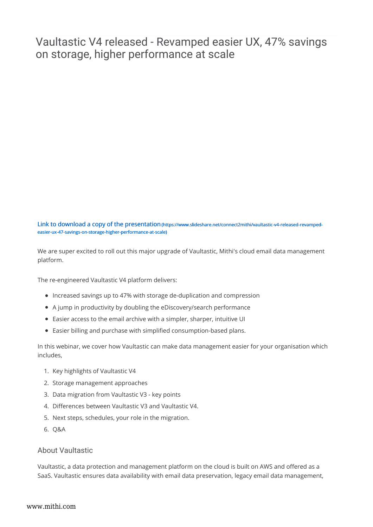## Vaultastic V4 released - Revamped easier UX, 47% savings on storage, higher performance at scale

Link to download a copy of the presentation (https://www.slideshare.net/connect2mithi/vaultastic-v4-released-revampedeasier-ux-47-savings-on-storage-higher-performance-at-scale)

We are super excited to roll out this major upgrade of Vaultastic, Mithi's cloud email data management platform.

The re-engineered Vaultastic V4 platform delivers:

- Increased savings up to 47% with storage de-duplication and compression
- A jump in productivity by doubling the eDiscovery/search performance
- Easier access to the email archive with a simpler, sharper, intuitive UI
- Easier billing and purchase with simplified consumption-based plans.

In this webinar, we cover how Vaultastic can make data management easier for your organisation which includes,

- 1. Key highlights of Vaultastic V4
- 2. Storage management approaches
- 3. Data migration from Vaultastic V3 key points
- 4. Differences between Vaultastic V3 and Vaultastic V4.
- 5. Next steps, schedules, your role in the migration.
- 6. Q&A

## About Vaultastic

Vaultastic, a data protection and management platform on the cloud is built on AWS and offered as a SaaS. Vaultastic ensures data availability with email data preservation, legacy email data management,